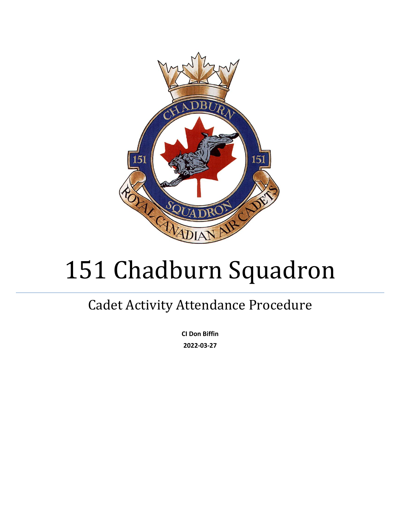

# 151 Chadburn Squadron

# Cadet Activity Attendance Procedure

**CI Don Biffin 2022-03-27**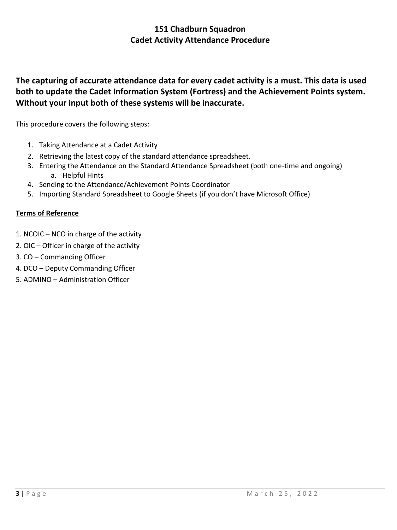# **The capturing of accurate attendance data for every cadet activity is a must. This data is used both to update the Cadet Information System (Fortress) and the Achievement Points system. Without your input both of these systems will be inaccurate.**

This procedure covers the following steps:

- 1. Taking Attendance at a Cadet Activity
- 2. Retrieving the latest copy of the standard attendance spreadsheet.
- 3. Entering the Attendance on the Standard Attendance Spreadsheet (both one-time and ongoing) a. Helpful Hints
- 4. Sending to the Attendance/Achievement Points Coordinator
- 5. Importing Standard Spreadsheet to Google Sheets (if you don't have Microsoft Office)

#### **Terms of Reference**

- 1. NCOIC NCO in charge of the activity
- 2. OIC Officer in charge of the activity
- 3. CO Commanding Officer
- 4. DCO Deputy Commanding Officer
- 5. ADMINO Administration Officer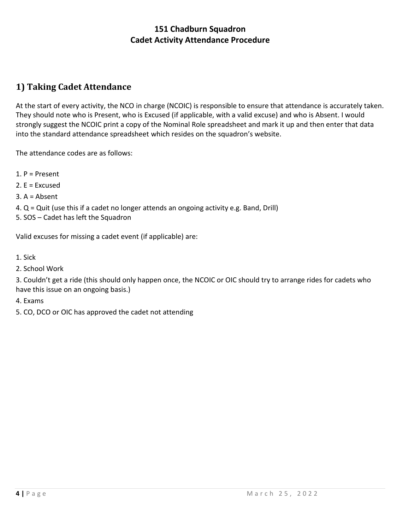# **1) Taking Cadet Attendance**

At the start of every activity, the NCO in charge (NCOIC) is responsible to ensure that attendance is accurately taken. They should note who is Present, who is Excused (if applicable, with a valid excuse) and who is Absent. I would strongly suggest the NCOIC print a copy of the Nominal Role spreadsheet and mark it up and then enter that data into the standard attendance spreadsheet which resides on the squadron's website.

The attendance codes are as follows:

- 1. P = Present
- 2. E = Excused
- 3. A = Absent
- 4. Q = Quit (use this if a cadet no longer attends an ongoing activity e.g. Band, Drill)
- 5. SOS Cadet has left the Squadron

Valid excuses for missing a cadet event (if applicable) are:

- 1. Sick
- 2. School Work

3. Couldn't get a ride (this should only happen once, the NCOIC or OIC should try to arrange rides for cadets who have this issue on an ongoing basis.)

- 4. Exams
- 5. CO, DCO or OIC has approved the cadet not attending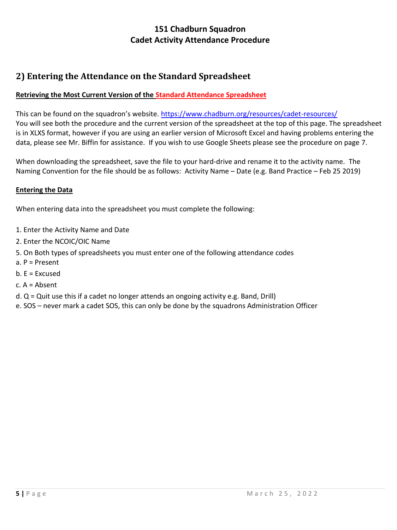# **2) Entering the Attendance on the Standard Spreadsheet**

#### **Retrieving the Most Current Version of the Standard Attendance Spreadsheet**

This can be found on the squadron's website. <https://www.chadburn.org/resources/cadet-resources/> You will see both the procedure and the current version of the spreadsheet at the top of this page. The spreadsheet is in XLXS format, however if you are using an earlier version of Microsoft Excel and having problems entering the data, please see Mr. Biffin for assistance. If you wish to use Google Sheets please see the procedure on page 7.

When downloading the spreadsheet, save the file to your hard-drive and rename it to the activity name. The Naming Convention for the file should be as follows: Activity Name – Date (e.g. Band Practice – Feb 25 2019)

#### **Entering the Data**

When entering data into the spreadsheet you must complete the following:

- 1. Enter the Activity Name and Date
- 2. Enter the NCOIC/OIC Name
- 5. On Both types of spreadsheets you must enter one of the following attendance codes
- a. P = Present
- $b. E = Excused$
- c. A = Absent
- d. Q = Quit use this if a cadet no longer attends an ongoing activity e.g. Band, Drill)

e. SOS – never mark a cadet SOS, this can only be done by the squadrons Administration Officer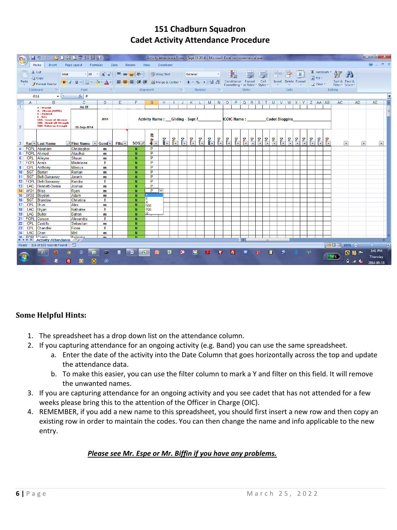| $\begin{array}{c c c c c} \hline \multicolumn{1}{c }{-1} & \multicolumn{1}{c }{-1} \end{array}$<br><b>BIBQ 3 1 1 2 B</b><br>日の、日、<br>Activity Attendance Form - Sept 18 2014 - Microsoft Excel non-commercial use<br><b>a</b> |              |                                                                                                                            |                                                                                                                                 |                                        |                      |                                         |                            |                                        |                  |               |               |                           |            |                |                                                                        |               |     |               |                              |                      |         |    |          |                                                                                                        |               |                                   |     |                             |                                 |                     |                          |
|-------------------------------------------------------------------------------------------------------------------------------------------------------------------------------------------------------------------------------|--------------|----------------------------------------------------------------------------------------------------------------------------|---------------------------------------------------------------------------------------------------------------------------------|----------------------------------------|----------------------|-----------------------------------------|----------------------------|----------------------------------------|------------------|---------------|---------------|---------------------------|------------|----------------|------------------------------------------------------------------------|---------------|-----|---------------|------------------------------|----------------------|---------|----|----------|--------------------------------------------------------------------------------------------------------|---------------|-----------------------------------|-----|-----------------------------|---------------------------------|---------------------|--------------------------|
| Home<br>Insert<br>Page Layout<br>Formulas<br>Data<br>Review<br>View<br>Developer                                                                                                                                              |              |                                                                                                                            |                                                                                                                                 |                                        |                      |                                         |                            |                                        |                  |               |               |                           |            |                | $\odot  \Box$ $\times$                                                 |               |     |               |                              |                      |         |    |          |                                                                                                        |               |                                   |     |                             |                                 |                     |                          |
|                                                                                                                                                                                                                               | Paste        | & Cut<br><b>En</b> Copy<br>Format Painter                                                                                  | Arial<br>$\mathbf{A}$ 10 $\mathbf{A}$ $\mathbf{A}$<br>$B$ $I$ $\underline{U}$ $\rightarrow$ $B$ $\rightarrow$ $A$ $\rightarrow$ |                                        |                      | <b>T</b> Wrap Text<br>$=$ $\frac{1}{2}$ |                            |                                        |                  |               | General       |                           |            |                | Ш.<br>鷝<br>Conditional Format Cell<br>Formatting * as Table * Styles * |               |     |               |                              | Insert Delete Format |         |    |          | $\Sigma$ AutoSum $\sim \frac{A}{Z}$<br>Fill *<br>Sort & Find &<br><b>Q</b> Clear™<br>Filter * Select * |               |                                   |     | ĥ                           |                                 |                     |                          |
| Clipboard                                                                                                                                                                                                                     |              | $\mathbb{R}^+$                                                                                                             | Font                                                                                                                            | $\overline{\mathbb{Q}}$ .<br>Alignment |                      |                                         |                            |                                        | - Fall<br>Number |               |               |                           | <b>ISI</b> | <b>Styles</b>  |                                                                        |               |     |               | Cells                        |                      |         |    |          | Editing                                                                                                |               |                                   |     |                             |                                 |                     |                          |
|                                                                                                                                                                                                                               |              | $-\sqrt{2}$<br>G14                                                                                                         |                                                                                                                                 |                                        |                      |                                         |                            |                                        |                  |               |               |                           |            |                |                                                                        |               |     |               |                              |                      | l v     |    |          |                                                                                                        |               |                                   |     |                             |                                 |                     |                          |
|                                                                                                                                                                                                                               | A            | B                                                                                                                          | $\mathbf{C}$                                                                                                                    | D                                      | Ε                    |                                         | G.                         | H                                      | $\mathbf{1}$     | J             | $K$ L         |                           |            |                |                                                                        |               |     |               |                              |                      |         |    |          |                                                                                                        |               | M N O P Q R S T U V W X Y Z AA AB |     | AC.                         | AD.                             | <b>AE</b>           |                          |
| $\mathbf{1}$                                                                                                                                                                                                                  |              | <b>P</b> - Present<br>A - Absent [AWOL]                                                                                    | As Of                                                                                                                           |                                        |                      |                                         |                            |                                        |                  |               |               |                           |            |                |                                                                        |               |     |               |                              |                      |         |    |          |                                                                                                        |               |                                   |     |                             |                                 |                     |                          |
| $\overline{2}$                                                                                                                                                                                                                |              | E - Excused<br>L - Late<br><b>LOA - Leave of Absense</b><br><b>SOS-Struck off Strength</b><br><b>TOS-Taken on Strength</b> | 2014                                                                                                                            |                                        |                      |                                         |                            | <b>Activity Name:</b> Gliding - Sept 7 |                  |               |               | COIC Name: Cadet Bloggins |            |                |                                                                        |               |     |               |                              |                      |         |    |          |                                                                                                        |               |                                   |     |                             |                                 |                     |                          |
| 3                                                                                                                                                                                                                             |              | Rar v Last Name                                                                                                            | $\sqrt{1}$ First Name $\sqrt{8}$ Gend $\sqrt{8}$                                                                                |                                        | Filte $\overline{ }$ | $SOS - T$                               | s<br>ù.<br>$\frac{9}{9}$ – | a<br>4<br>1                            | $\frac{1}{2}$    | $\frac{1}{2}$ | $\frac{1}{2}$ | P.                        | Date<br>S  | $\frac{1}{2}$  | ہے۔<br>پا                                                              | $\frac{1}{2}$ | P.  | $\frac{1}{2}$ | $\overline{\mathbf{D}}$<br>P | P                    | p.<br>I | P. | P        | $\frac{1}{2}$                                                                                          | $\frac{1}{2}$ | $\frac{1}{2}$<br>P.               |     | $\left[ \mathbf{v} \right]$ | $\vert \mathbf{v} \vert$        |                     | $\vert \mathbf{v} \vert$ |
|                                                                                                                                                                                                                               |              | <b>FCPL</b> Abraham                                                                                                        | Christopher                                                                                                                     | m                                      |                      | N                                       | P                          |                                        |                  |               |               |                           |            |                |                                                                        |               |     |               |                              |                      |         |    |          |                                                                                                        |               |                                   |     |                             |                                 |                     |                          |
|                                                                                                                                                                                                                               |              | FCPL Ahmad                                                                                                                 | Ataulhai                                                                                                                        | m                                      |                      | N                                       | P                          |                                        |                  |               |               |                           |            |                |                                                                        |               |     |               |                              |                      |         |    |          |                                                                                                        |               |                                   |     |                             |                                 |                     |                          |
| 6                                                                                                                                                                                                                             |              | CPL Alleyne                                                                                                                | Shaun                                                                                                                           | m                                      |                      | N                                       | P                          |                                        |                  |               |               |                           |            |                |                                                                        |               |     |               |                              |                      |         |    |          |                                                                                                        |               |                                   |     |                             |                                 |                     |                          |
|                                                                                                                                                                                                                               |              | <b>FCPL</b> Annis                                                                                                          | Madeleine                                                                                                                       | f                                      |                      | N                                       | P                          |                                        |                  |               |               |                           |            |                |                                                                        |               |     |               |                              |                      |         |    |          |                                                                                                        |               |                                   |     |                             |                                 |                     |                          |
|                                                                                                                                                                                                                               |              | CPL Anthony                                                                                                                | <b>Marcus</b>                                                                                                                   | m                                      |                      | N                                       | P                          |                                        |                  |               |               |                           |            |                |                                                                        |               |     |               |                              |                      |         |    |          |                                                                                                        |               |                                   |     |                             |                                 |                     |                          |
| 10 <sup>1</sup>                                                                                                                                                                                                               |              | SGT Barton                                                                                                                 | Roman                                                                                                                           | m                                      |                      | N                                       | P                          |                                        |                  |               |               |                           |            |                |                                                                        |               |     |               |                              |                      |         |    |          |                                                                                                        |               |                                   |     |                             |                                 |                     |                          |
|                                                                                                                                                                                                                               |              | 11 SGT Bell-Garraway                                                                                                       | Javanh                                                                                                                          | m                                      |                      | N                                       | P                          |                                        |                  |               |               |                           |            |                |                                                                        |               |     |               |                              |                      |         |    |          |                                                                                                        |               |                                   |     |                             |                                 |                     |                          |
|                                                                                                                                                                                                                               |              | 12 FCPL Bell-Garraway                                                                                                      | Kendra                                                                                                                          | f                                      |                      | N                                       | P                          |                                        |                  |               |               |                           |            |                |                                                                        |               |     |               |                              |                      |         |    |          |                                                                                                        |               |                                   |     |                             |                                 |                     |                          |
| 13 <sup>1</sup>                                                                                                                                                                                                               |              | LAC Bennett-Dwara                                                                                                          | Joshua                                                                                                                          | m                                      |                      | N                                       | P                          |                                        |                  |               |               |                           |            |                |                                                                        |               |     |               |                              |                      |         |    |          |                                                                                                        |               |                                   |     |                             |                                 |                     |                          |
|                                                                                                                                                                                                                               | 14 WO1 Bliss |                                                                                                                            | Ryan                                                                                                                            | m                                      |                      | N                                       | P                          | l.                                     |                  |               |               |                           |            |                |                                                                        |               |     |               |                              |                      |         |    |          |                                                                                                        |               |                                   |     |                             |                                 |                     |                          |
|                                                                                                                                                                                                                               |              | 15 WO2 Boyden                                                                                                              | Adam                                                                                                                            | m                                      |                      | N                                       | Е                          |                                        |                  |               |               |                           |            |                |                                                                        |               |     |               |                              |                      |         |    |          |                                                                                                        |               |                                   |     |                             |                                 |                     |                          |
| 16 <sup>1</sup>                                                                                                                                                                                                               | CPL          | SGT Brandow<br>Bruni                                                                                                       | Christina<br>Alex                                                                                                               | f                                      |                      | N                                       | A                          |                                        |                  |               |               |                           |            |                |                                                                        |               |     |               |                              |                      |         |    |          |                                                                                                        |               |                                   |     |                             |                                 |                     |                          |
| 17 <sup>1</sup><br>18                                                                                                                                                                                                         |              | LAC Bryan                                                                                                                  | Nathalee                                                                                                                        | m<br>f                                 |                      | N<br>N                                  | SOS<br>TOS                 |                                        |                  |               |               |                           |            |                |                                                                        |               |     |               |                              |                      |         |    |          |                                                                                                        |               |                                   |     |                             |                                 |                     |                          |
| 19 <sup>1</sup>                                                                                                                                                                                                               | LAC          | Buller                                                                                                                     | Dalton                                                                                                                          | m                                      |                      | N                                       | Q.                         |                                        |                  |               |               |                           |            |                |                                                                        |               |     |               |                              |                      |         |    |          |                                                                                                        |               |                                   |     |                             |                                 |                     |                          |
|                                                                                                                                                                                                                               | 21 FCPL      | Carson                                                                                                                     | Alexandra                                                                                                                       | $\mathbf f$                            |                      | N                                       |                            |                                        |                  |               |               |                           |            |                |                                                                        |               |     |               |                              |                      |         |    |          |                                                                                                        |               |                                   |     |                             |                                 |                     |                          |
| 22                                                                                                                                                                                                                            | <b>CPL</b>   | Castillo                                                                                                                   | Sebastian                                                                                                                       | m                                      |                      | N                                       |                            |                                        |                  |               |               |                           |            |                |                                                                        |               |     |               |                              |                      |         |    |          |                                                                                                        |               |                                   |     |                             |                                 |                     |                          |
| 23                                                                                                                                                                                                                            | <b>CPL</b>   | Chandler                                                                                                                   | Fiona                                                                                                                           | f                                      |                      | N.                                      |                            |                                        |                  |               |               |                           |            |                |                                                                        |               |     |               |                              |                      |         |    |          |                                                                                                        |               |                                   |     |                             |                                 |                     |                          |
|                                                                                                                                                                                                                               | $24$ LAC     | Chen                                                                                                                       | Mel                                                                                                                             | m                                      |                      | N                                       |                            |                                        |                  |               |               |                           |            |                |                                                                        |               |     |               |                              |                      |         |    |          |                                                                                                        |               |                                   |     |                             |                                 |                     |                          |
|                                                                                                                                                                                                                               |              | 26 FCDL Control                                                                                                            | Folivoior                                                                                                                       | $\mathbf{m}$                           |                      | $\mathbf{M}$                            |                            |                                        |                  |               |               |                           |            |                |                                                                        |               |     |               |                              |                      |         |    |          |                                                                                                        |               |                                   |     |                             |                                 |                     |                          |
|                                                                                                                                                                                                                               |              | <b>K ← ▶ ▶ Activity Attendance</b>                                                                                         | -90                                                                                                                             |                                        |                      |                                         |                            |                                        |                  |               |               |                           |            |                |                                                                        |               | n a |               |                              |                      |         |    |          |                                                                                                        |               |                                   |     |                             |                                 |                     |                          |
|                                                                                                                                                                                                                               |              | Ready 116 of 132 records found                                                                                             | P.                                                                                                                              |                                        |                      |                                         |                            |                                        |                  |               |               |                           |            |                |                                                                        |               |     |               |                              |                      |         |    |          |                                                                                                        |               |                                   |     | ■ □ 凹 100% →                |                                 | $\overline{v}$      | $\bigoplus$              |
|                                                                                                                                                                                                                               |              | $\blacksquare$                                                                                                             | 匠<br>$\circ$<br>о                                                                                                               | 画<br>$^{\circ}$                        |                      | ĨШ                                      | $\mathbb{R}$               |                                        | 网                |               | P.            |                           | 시          | $\overline{q}$ |                                                                        | Fz            | ₹   |               | Ő.                           | П                    | ∾       |    | $\alpha$ | - 040                                                                                                  |               |                                   | 54% |                             | ◎ 貉 下<br>$\frac{1}{2014-09-18}$ | 3:41 PM<br>Thursday |                          |

#### **Some Helpful Hints:**

- 1. The spreadsheet has a drop down list on the attendance column.
- 2. If you capturing attendance for an ongoing activity (e.g. Band) you can use the same spreadsheet.
	- a. Enter the date of the activity into the Date Column that goes horizontally across the top and update the attendance data.
	- b. To make this easier, you can use the filter column to mark a Y and filter on this field. It will remove the unwanted names.
- 3. If you are capturing attendance for an ongoing activity and you see cadet that has not attended for a few weeks please bring this to the attention of the Officer in Charge (OIC).
- 4. REMEMBER, if you add a new name to this spreadsheet, you should first insert a new row and then copy an existing row in order to maintain the codes. You can then change the name and info applicable to the new entry.

#### *Please see Mr. Espe or Mr. Biffin if you have any problems.*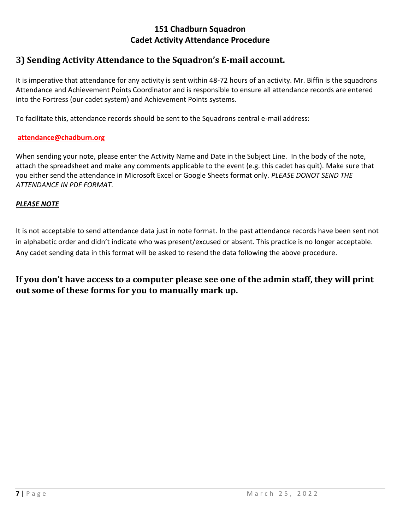# **3) Sending Activity Attendance to the Squadron's E-mail account.**

It is imperative that attendance for any activity is sent within 48-72 hours of an activity. Mr. Biffin is the squadrons Attendance and Achievement Points Coordinator and is responsible to ensure all attendance records are entered into the Fortress (our cadet system) and Achievement Points systems.

To facilitate this, attendance records should be sent to the Squadrons central e-mail address:

#### **attendance@chadburn.org**

When sending your note, please enter the Activity Name and Date in the Subject Line. In the body of the note, attach the spreadsheet and make any comments applicable to the event (e.g. this cadet has quit). Make sure that you either send the attendance in Microsoft Excel or Google Sheets format only. *PLEASE DONOT SEND THE ATTENDANCE IN PDF FORMAT.* 

#### *PLEASE NOTE*

It is not acceptable to send attendance data just in note format. In the past attendance records have been sent not in alphabetic order and didn't indicate who was present/excused or absent. This practice is no longer acceptable. Any cadet sending data in this format will be asked to resend the data following the above procedure.

**If you don't have access to a computer please see one of the admin staff, they will print out some of these forms for you to manually mark up.**